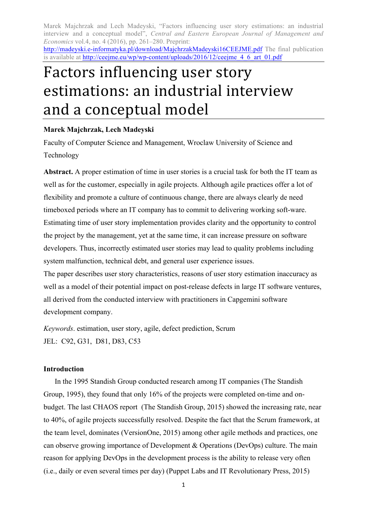http://madeyski.e-informatyka.pl/download/MajchrzakMadeyski16CEEJME.pdf The final publication is available at http://ceejme.eu/wp/wp-content/uploads/2016/12/ceejme\_4\_6\_art\_01.pdf

# Factors influencing user story estimations: an industrial interview and a conceptual model

# **Marek Majchrzak, Lech Madeyski**

Faculty of Computer Science and Management, Wroclaw University of Science and Technology

**Abstract.** A proper estimation of time in user stories is a crucial task for both the IT team as well as for the customer, especially in agile projects. Although agile practices offer a lot of flexibility and promote a culture of continuous change, there are always clearly de need timeboxed periods where an IT company has to commit to delivering working soft-ware. Estimating time of user story implementation provides clarity and the opportunity to control the project by the management, yet at the same time, it can increase pressure on software developers. Thus, incorrectly estimated user stories may lead to quality problems including system malfunction, technical debt, and general user experience issues.

The paper describes user story characteristics, reasons of user story estimation inaccuracy as well as a model of their potential impact on post-release defects in large IT software ventures, all derived from the conducted interview with practitioners in Capgemini software development company.

*Keywords*. estimation, user story, agile, defect prediction, Scrum JEL: C92, G31, D81, D83, C53

## **Introduction**

In the 1995 Standish Group conducted research among IT companies (The Standish Group, 1995), they found that only 16% of the projects were completed on-time and onbudget. The last CHAOS report (The Standish Group, 2015) showed the increasing rate, near to 40%, of agile projects successfully resolved. Despite the fact that the Scrum framework, at the team level, dominates (VersionOne, 2015) among other agile methods and practices, one can observe growing importance of Development & Operations (DevOps) culture. The main reason for applying DevOps in the development process is the ability to release very often (i.e., daily or even several times per day) (Puppet Labs and IT Revolutionary Press, 2015)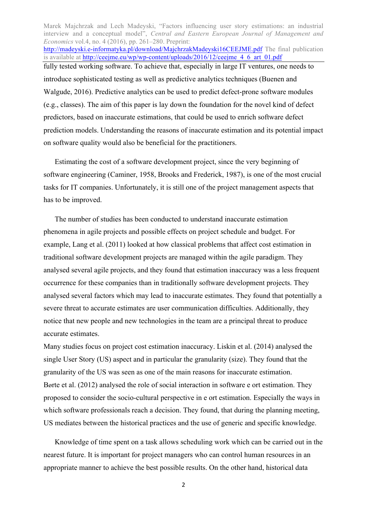Marek Majchrzak and Lech Madeyski, "Factors influencing user story estimations: an industrial interview and a conceptual model", *Central and Eastern European Journal of Management and Economics* vol.4, no. 4 (2016), pp. 261–280. Preprint: http://madeyski.e-informatyka.pl/download/MajchrzakMadeyski16CEEJME.pdf The final publication is available at http://ceejme.eu/wp/wp-content/uploads/2016/12/ceejme\_4\_6\_art\_01.pdf fully tested working software. To achieve that, especially in large IT ventures, one needs to introduce sophisticated testing as well as predictive analytics techniques (Buenen and Walgude, 2016). Predictive analytics can be used to predict defect-prone software modules (e.g., classes). The aim of this paper is lay down the foundation for the novel kind of defect predictors, based on inaccurate estimations, that could be used to enrich software defect prediction models. Understanding the reasons of inaccurate estimation and its potential impact on software quality would also be beneficial for the practitioners.

Estimating the cost of a software development project, since the very beginning of software engineering (Caminer, 1958, Brooks and Frederick, 1987), is one of the most crucial tasks for IT companies. Unfortunately, it is still one of the project management aspects that has to be improved.

The number of studies has been conducted to understand inaccurate estimation phenomena in agile projects and possible effects on project schedule and budget. For example, Lang et al. (2011) looked at how classical problems that affect cost estimation in traditional software development projects are managed within the agile paradigm. They analysed several agile projects, and they found that estimation inaccuracy was a less frequent occurrence for these companies than in traditionally software development projects. They analysed several factors which may lead to inaccurate estimates. They found that potentially a severe threat to accurate estimates are user communication difficulties. Additionally, they notice that new people and new technologies in the team are a principal threat to produce accurate estimates.

Many studies focus on project cost estimation inaccuracy. Liskin et al. (2014) analysed the single User Story (US) aspect and in particular the granularity (size). They found that the granularity of the US was seen as one of the main reasons for inaccurate estimation. Børte et al. (2012) analysed the role of social interaction in software e ort estimation. They proposed to consider the socio-cultural perspective in e ort estimation. Especially the ways in which software professionals reach a decision. They found, that during the planning meeting, US mediates between the historical practices and the use of generic and specific knowledge.

Knowledge of time spent on a task allows scheduling work which can be carried out in the nearest future. It is important for project managers who can control human resources in an appropriate manner to achieve the best possible results. On the other hand, historical data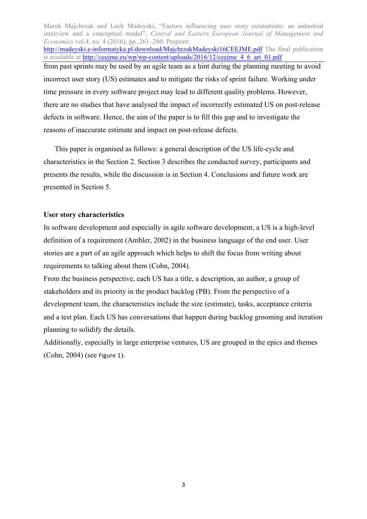Marek Majchrzak and Lech Madeyski, "Factors influencing user story estimations: an industrial interview and a conceptual model", *Central and Eastern European Journal of Management and Economics* vol.4, no. 4 (2016), pp. 261–280. Preprint: http://madeyski.e-informatyka.pl/download/MajchrzakMadeyski16CEEJME.pdf The final publication is available at http://ceejme.eu/wp/wp-content/uploads/2016/12/ceejme\_4\_6\_art\_01.pdf from past sprints may be used by an agile team as a hint during the planning meeting to avoid incorrect user story (US) estimates and to mitigate the risks of sprint failure. Working under time pressure in every software project may lead to different quality problems. However, there are no studies that have analysed the impact of incorrectly estimated US on post-release defects in software. Hence, the aim of the paper is to fill this gap and to investigate the reasons of inaccurate estimate and impact on post-release defects.

This paper is organised as follows: a general description of the US life-cycle and characteristics in the Section 2. Section 3 describes the conducted survey, participants and presents the results, while the discussion is in Section 4. Conclusions and future work are presented in Section 5.

#### **User story characteristics**

In software development and especially in agile software development, a US is a high-level definition of a requirement (Ambler, 2002) in the business language of the end user. User stories are a part of an agile approach which helps to shift the focus from writing about requirements to talking about them (Cohn, 2004).

From the business perspective, each US has a title, a description, an author, a group of stakeholders and its priority in the product backlog (PB). From the perspective of a development team, the characteristics include the size (estimate), tasks, acceptance criteria and a test plan. Each US has conversations that happen during backlog grooming and iteration planning to solidify the details.

Additionally, especially in large enterprise ventures, US are grouped in the epics and themes  $(Cohn, 2004)$  (see Figure 1).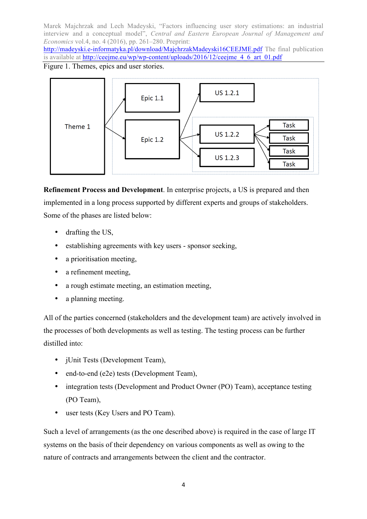http://madeyski.e-informatyka.pl/download/MajchrzakMadeyski16CEEJME.pdf The final publication is available at http://ceejme.eu/wp/wp-content/uploads/2016/12/ceejme\_4\_6\_art\_01.pdf

Figure 1. Themes, epics and user stories.



**Refinement Process and Development**. In enterprise projects, a US is prepared and then implemented in a long process supported by different experts and groups of stakeholders. Some of the phases are listed below:

- drafting the US,
- establishing agreements with key users sponsor seeking,
- a prioritisation meeting,
- a refinement meeting,
- a rough estimate meeting, an estimation meeting,
- a planning meeting.

All of the parties concerned (stakeholders and the development team) are actively involved in the processes of both developments as well as testing. The testing process can be further distilled into:

- jUnit Tests (Development Team),
- end-to-end (e2e) tests (Development Team),
- integration tests (Development and Product Owner (PO) Team), acceptance testing (PO Team),
- user tests (Key Users and PO Team).

Such a level of arrangements (as the one described above) is required in the case of large IT systems on the basis of their dependency on various components as well as owing to the nature of contracts and arrangements between the client and the contractor.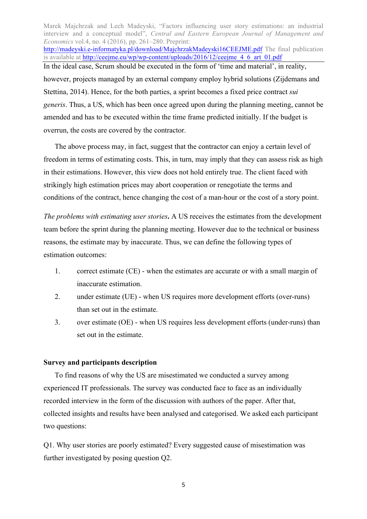Marek Majchrzak and Lech Madeyski, "Factors influencing user story estimations: an industrial interview and a conceptual model", *Central and Eastern European Journal of Management and Economics* vol.4, no. 4 (2016), pp. 261–280. Preprint: http://madeyski.e-informatyka.pl/download/MajchrzakMadeyski16CEEJME.pdf The final publication is available at http://ceejme.eu/wp/wp-content/uploads/2016/12/ceejme\_4\_6\_art\_01.pdf In the ideal case, Scrum should be executed in the form of 'time and material', in reality, however, projects managed by an external company employ hybrid solutions (Zijdemans and Stettina, 2014). Hence, for the both parties, a sprint becomes a fixed price contract *sui generis*. Thus, a US, which has been once agreed upon during the planning meeting, cannot be amended and has to be executed within the time frame predicted initially. If the budget is overrun, the costs are covered by the contractor.

The above process may, in fact, suggest that the contractor can enjoy a certain level of freedom in terms of estimating costs. This, in turn, may imply that they can assess risk as high in their estimations. However, this view does not hold entirely true. The client faced with strikingly high estimation prices may abort cooperation or renegotiate the terms and conditions of the contract, hence changing the cost of a man-hour or the cost of a story point.

*The problems with estimating user stories***.** A US receives the estimates from the development team before the sprint during the planning meeting. However due to the technical or business reasons, the estimate may by inaccurate. Thus, we can define the following types of estimation outcomes:

- 1. correct estimate (CE) when the estimates are accurate or with a small margin of inaccurate estimation.
- 2. under estimate (UE) when US requires more development efforts (over-runs) than set out in the estimate.
- 3. over estimate (OE) when US requires less development efforts (under-runs) than set out in the estimate.

#### **Survey and participants description**

To find reasons of why the US are misestimated we conducted a survey among experienced IT professionals. The survey was conducted face to face as an individually recorded interview in the form of the discussion with authors of the paper. After that, collected insights and results have been analysed and categorised. We asked each participant two questions:

Q1. Why user stories are poorly estimated? Every suggested cause of misestimation was further investigated by posing question Q2.

5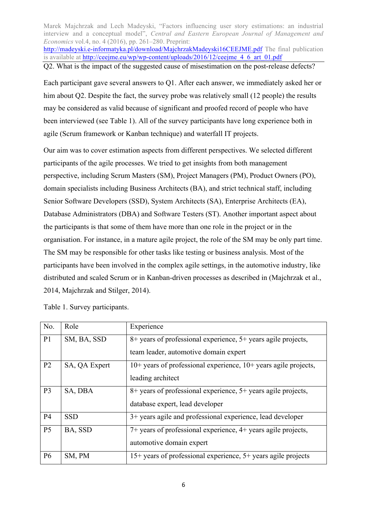Marek Majchrzak and Lech Madeyski, "Factors influencing user story estimations: an industrial interview and a conceptual model", *Central and Eastern European Journal of Management and Economics* vol.4, no. 4 (2016), pp. 261–280. Preprint: http://madeyski.e-informatyka.pl/download/MajchrzakMadeyski16CEEJME.pdf The final publication is available at http://ceejme.eu/wp/wp-content/uploads/2016/12/ceejme\_4\_6\_art\_01.pdf

Q2. What is the impact of the suggested cause of misestimation on the post-release defects?

Each participant gave several answers to Q1. After each answer, we immediately asked her or him about O2. Despite the fact, the survey probe was relatively small (12 people) the results may be considered as valid because of significant and proofed record of people who have been interviewed (see Table 1). All of the survey participants have long experience both in agile (Scrum framework or Kanban technique) and waterfall IT projects.

Our aim was to cover estimation aspects from different perspectives. We selected different participants of the agile processes. We tried to get insights from both management perspective, including Scrum Masters (SM), Project Managers (PM), Product Owners (PO), domain specialists including Business Architects (BA), and strict technical staff, including Senior Software Developers (SSD), System Architects (SA), Enterprise Architects (EA), Database Administrators (DBA) and Software Testers (ST). Another important aspect about the participants is that some of them have more than one role in the project or in the organisation. For instance, in a mature agile project, the role of the SM may be only part time. The SM may be responsible for other tasks like testing or business analysis. Most of the participants have been involved in the complex agile settings, in the automotive industry, like distributed and scaled Scrum or in Kanban-driven processes as described in (Majchrzak et al., 2014, Majchrzak and Stilger, 2014).

| Table 1. Survey participants. |  |
|-------------------------------|--|
|-------------------------------|--|

| No.            | Role          | Experience                                                          |
|----------------|---------------|---------------------------------------------------------------------|
| P <sub>1</sub> | SM, BA, SSD   | 8+ years of professional experience, 5+ years agile projects,       |
|                |               | team leader, automotive domain expert                               |
| P <sub>2</sub> | SA, QA Expert | $10+$ years of professional experience, $10+$ years agile projects, |
|                |               | leading architect                                                   |
| P <sub>3</sub> | SA, DBA       | 8+ years of professional experience, 5+ years agile projects,       |
|                |               | database expert, lead developer                                     |
| <b>P4</b>      | <b>SSD</b>    | 3+ years agile and professional experience, lead developer          |
| P <sub>5</sub> | BA, SSD       | 7+ years of professional experience, 4+ years agile projects,       |
|                |               | automotive domain expert                                            |
| <b>P6</b>      | SM, PM        | 15+ years of professional experience, 5+ years agile projects       |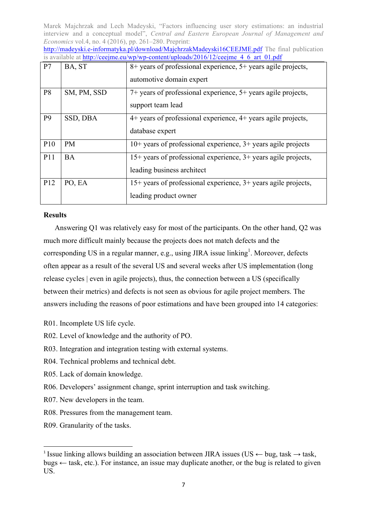http://madeyski.e-informatyka.pl/download/MajchrzakMadeyski16CEEJME.pdf The final publication is available at http://ceeime.eu/wp/wp-content/uploads/2016/12/ceeime  $4\,6\,$  art  $\,01.$ pdf

| P7              | BA, ST      | 8+ years of professional experience, 5+ years agile projects,<br>automotive domain expert    |
|-----------------|-------------|----------------------------------------------------------------------------------------------|
| P <sub>8</sub>  | SM, PM, SSD | 7+ years of professional experience, 5+ years agile projects,<br>support team lead           |
| P <sub>9</sub>  | SSD, DBA    | 4+ years of professional experience, 4+ years agile projects,<br>database expert             |
| P <sub>10</sub> | <b>PM</b>   | $10+$ years of professional experience, $3+$ years agile projects                            |
| P <sub>11</sub> | <b>BA</b>   | 15+ years of professional experience, 3+ years agile projects,<br>leading business architect |
| P <sub>12</sub> | PO, EA      | $15+$ years of professional experience, $3+$ years agile projects,<br>leading product owner  |

#### **Results**

Answering Q1 was relatively easy for most of the participants. On the other hand, Q2 was much more difficult mainly because the projects does not match defects and the corresponding US in a regular manner, e.g., using JIRA issue linking<sup>1</sup>. Moreover, defects often appear as a result of the several US and several weeks after US implementation (long release cycles | even in agile projects), thus, the connection between a US (specifically between their metrics) and defects is not seen as obvious for agile project members. The answers including the reasons of poor estimations and have been grouped into 14 categories:

- R01. Incomplete US life cycle.
- R02. Level of knowledge and the authority of PO.
- R03. Integration and integration testing with external systems.
- R04. Technical problems and technical debt.
- R05. Lack of domain knowledge.
- R06. Developers' assignment change, sprint interruption and task switching.
- R07. New developers in the team.
- R08. Pressures from the management team.
- R09. Granularity of the tasks.

<u> 1989 - Jan Samuel Barbara, político establecido de la provincia de la provincia de la provincia de la provinci</u>

<sup>1</sup> Issue linking allows building an association between JIRA issues (US *←* bug, task *→* task, bugs *←* task, etc.). For instance, an issue may duplicate another, or the bug is related to given US.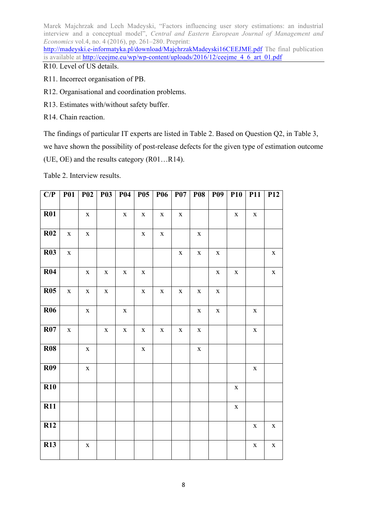http://madeyski.e-informatyka.pl/download/MajchrzakMadeyski16CEEJME.pdf The final publication is available at http://ceejme.eu/wp/wp-content/uploads/2016/12/ceejme\_4\_6\_art\_01.pdf R10. Level of US details.

- R11. Incorrect organisation of PB.
- R12. Organisational and coordination problems.
- R13. Estimates with/without safety buffer.
- R14. Chain reaction.

The findings of particular IT experts are listed in Table 2. Based on Question Q2, in Table 3, we have shown the possibility of post-release defects for the given type of estimation outcome (UE, OE) and the results category (R01…R14).

Table 2. Interview results.

| C/P        | <b>P01</b>  | $P_{02}$    | <b>P03</b>  | <b>P04</b>  | $P_{05}$    | <b>P06</b>  | <b>P07</b>  | <b>P08</b>  | <b>P09</b>  | $\overline{P}10$ | P11         | <b>P12</b>  |
|------------|-------------|-------------|-------------|-------------|-------------|-------------|-------------|-------------|-------------|------------------|-------------|-------------|
|            |             |             |             |             |             |             |             |             |             |                  |             |             |
| R01        |             | $\mathbf X$ |             | $\mathbf X$ | $\mathbf X$ | $\mathbf X$ | $\mathbf X$ |             |             | $\mathbf X$      | $\mathbf X$ |             |
| <b>R02</b> | $\mathbf X$ | $\mathbf X$ |             |             | $\mathbf X$ | $\mathbf X$ |             | $\mathbf X$ |             |                  |             |             |
| <b>R03</b> | $\mathbf X$ |             |             |             |             |             | $\mathbf X$ | $\mathbf X$ | $\mathbf X$ |                  |             | $\mathbf X$ |
| R04        |             | $\mathbf X$ | $\mathbf X$ | $\mathbf X$ | $\mathbf X$ |             |             |             | $\mathbf X$ | $\mathbf X$      |             | $\mathbf X$ |
| R05        | $\mathbf X$ | $\mathbf X$ | $\mathbf X$ |             | $\mathbf X$ | $\mathbf X$ | $\mathbf X$ | $\mathbf X$ | $\mathbf X$ |                  |             |             |
| <b>R06</b> |             | $\mathbf X$ |             | $\mathbf X$ |             |             |             | $\mathbf X$ | $\mathbf X$ |                  | $\mathbf X$ |             |
| R07        | $\mathbf X$ |             | $\mathbf X$ | $\mathbf X$ | $\mathbf X$ | $\mathbf X$ | $\mathbf X$ | $\mathbf X$ |             |                  | $\mathbf X$ |             |
| <b>R08</b> |             | $\mathbf X$ |             |             | $\mathbf X$ |             |             | $\mathbf X$ |             |                  |             |             |
| <b>R09</b> |             | $\mathbf X$ |             |             |             |             |             |             |             |                  | $\mathbf X$ |             |
| <b>R10</b> |             |             |             |             |             |             |             |             |             | $\mathbf X$      |             |             |
| <b>R11</b> |             |             |             |             |             |             |             |             |             | $\mathbf X$      |             |             |
| <b>R12</b> |             |             |             |             |             |             |             |             |             |                  | $\mathbf X$ | $\mathbf X$ |
| <b>R13</b> |             | $\mathbf X$ |             |             |             |             |             |             |             |                  | $\mathbf X$ | $\mathbf X$ |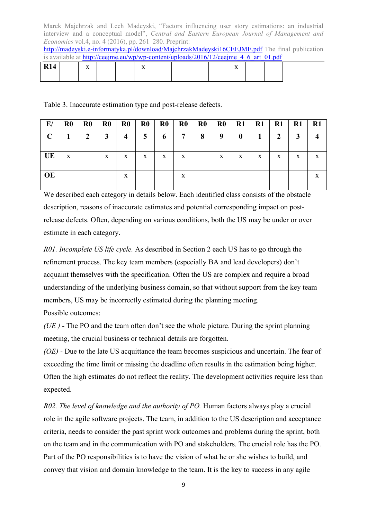http://madeyski.e-informatyka.pl/download/MajchrzakMadeyski16CEEJME.pdf The final publication is available at http://ceeime.eu/wp/wp-content/uploads/2016/12/ceeime  $4\,6\,$  art  $\,01.$ pdf

| R14 | $-1$<br>$\overline{ }$ |  | $-$<br>$\overline{ }$ |  |  | $-$<br>$\overline{\phantom{a}}$<br>-- |  |  |
|-----|------------------------|--|-----------------------|--|--|---------------------------------------|--|--|
|     |                        |  |                       |  |  |                                       |  |  |

Table 3. Inaccurate estimation type and post-release defects.

| E/          | R <sub>0</sub> | $\mathbf{R}0$ | $\bf R0$ | $\bf R0$       | $\mathbf{R}0$ | $\bf R0$ | $\bf R0$ | $\mathbf{R}0$ | $\bf R0$     | R1       | R1 | $\mathbf{R}1$ | $\mathbf{R}1$ | $\mathbf{R}1$ |
|-------------|----------------|---------------|----------|----------------|---------------|----------|----------|---------------|--------------|----------|----|---------------|---------------|---------------|
| $\mathbf C$ |                | $\mathbf{2}$  | 3        | $\overline{4}$ | 5             | 6        | 7        | 8             | 9            | $\bf{0}$ |    |               |               |               |
|             |                |               |          |                |               |          |          |               |              |          |    |               |               |               |
| UE          | X              |               | X        | X              | X             | X        | X        |               | $\mathbf{X}$ | X        | X  | X             | X             |               |
|             |                |               |          |                |               |          |          |               |              |          |    |               |               |               |
| <b>OE</b>   |                |               |          | X              |               |          | X        |               |              |          |    |               |               |               |
|             |                |               |          |                |               |          |          |               |              |          |    |               |               |               |

We described each category in details below. Each identified class consists of the obstacle description, reasons of inaccurate estimates and potential corresponding impact on postrelease defects. Often, depending on various conditions, both the US may be under or over estimate in each category.

*R01. Incomplete US life cycle.* As described in Section 2 each US has to go through the refinement process. The key team members (especially BA and lead developers) don't acquaint themselves with the specification. Often the US are complex and require a broad understanding of the underlying business domain, so that without support from the key team members, US may be incorrectly estimated during the planning meeting.

Possible outcomes:

*(UE )* - The PO and the team often don't see the whole picture. During the sprint planning meeting, the crucial business or technical details are forgotten.

*(OE)* - Due to the late US acquittance the team becomes suspicious and uncertain. The fear of exceeding the time limit or missing the deadline often results in the estimation being higher. Often the high estimates do not reflect the reality. The development activities require less than expected.

*R02. The level of knowledge and the authority of PO.* Human factors always play a crucial role in the agile software projects. The team, in addition to the US description and acceptance criteria, needs to consider the past sprint work outcomes and problems during the sprint, both on the team and in the communication with PO and stakeholders. The crucial role has the PO. Part of the PO responsibilities is to have the vision of what he or she wishes to build, and convey that vision and domain knowledge to the team. It is the key to success in any agile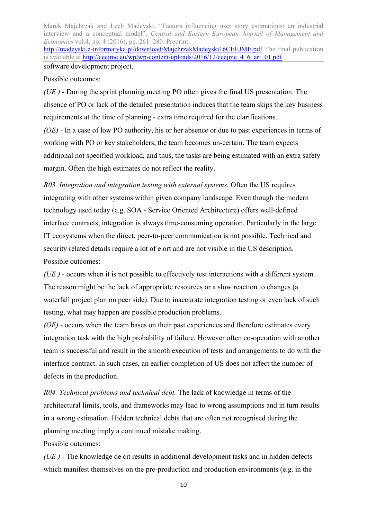http://madeyski.e-informatyka.pl/download/MajchrzakMadeyski16CEEJME.pdf The final publication is available at http://ceejme.eu/wp/wp-content/uploads/2016/12/ceejme\_4\_6\_art\_01.pdf software development project.

Possible outcomes:

*(UE )* - During the sprint planning meeting PO often gives the final US presentation. The absence of PO or lack of the detailed presentation induces that the team skips the key business requirements at the time of planning - extra time required for the clarifications.

*(OE)* - In a case of low PO authority, his or her absence or due to past experiences in terms of working with PO or key stakeholders, the team becomes un-certain. The team expects additional not specified workload, and thus, the tasks are being estimated with an extra safety margin. Often the high estimates do not reflect the reality.

*R03. Integration and integration testing with external systems.* Often the US requires integrating with other systems within given company landscape. Even though the modern technology used today (e.g. SOA - Service Oriented Architecture) offers well-defined interface contracts, integration is always time-consuming operation. Particularly in the large IT ecosystems when the direct, peer-to-peer communication is not possible. Technical and security related details require a lot of e ort and are not visible in the US description. Possible outcomes:

*(UE )* - occurs when it is not possible to effectively test interactions with a different system. The reason might be the lack of appropriate resources or a slow reaction to changes (a waterfall project plan on peer side). Due to inaccurate integration testing or even lack of such testing, what may happen are possible production problems.

*(OE)* - occurs when the team bases on their past experiences and therefore estimates every integration task with the high probability of failure. However often co-operation with another team is successful and result in the smooth execution of tests and arrangements to do with the interface contract. In such cases, an earlier completion of US does not affect the number of defects in the production.

*R04. Technical problems and technical debt.* The lack of knowledge in terms of the architectural limits, tools, and frameworks may lead to wrong assumptions and in turn results in a wrong estimation. Hidden technical debts that are often not recognised during the planning meeting imply a continued mistake making.

Possible outcomes:

*(UE )* - The knowledge de cit results in additional development tasks and in hidden defects which manifest themselves on the pre-production and production environments (e.g. in the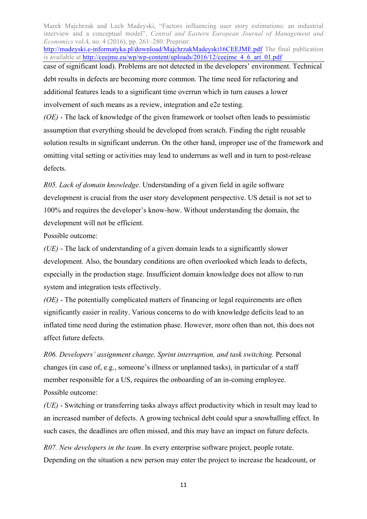Marek Majchrzak and Lech Madeyski, "Factors influencing user story estimations: an industrial interview and a conceptual model", *Central and Eastern European Journal of Management and Economics* vol.4, no. 4 (2016), pp. 261–280. Preprint: http://madeyski.e-informatyka.pl/download/MajchrzakMadeyski16CEEJME.pdf The final publication is available at http://ceejme.eu/wp/wp-content/uploads/2016/12/ceejme\_4\_6\_art\_01.pdf case of significant load). Problems are not detected in the developers' environment. Technical debt results in defects are becoming more common. The time need for refactoring and additional features leads to a significant time overrun which in turn causes a lower involvement of such means as a review, integration and e2e testing. *(OE)* - The lack of knowledge of the given framework or toolset often leads to pessimistic

assumption that everything should be developed from scratch. Finding the right reusable solution results in significant underrun. On the other hand, improper use of the framework and omitting vital setting or activities may lead to underruns as well and in turn to post-release defects.

*R05. Lack of domain knowledge*. Understanding of a given field in agile software development is crucial from the user story development perspective. US detail is not set to 100% and requires the developer's know-how. Without understanding the domain, the development will not be efficient.

Possible outcome:

*(UE)* - The lack of understanding of a given domain leads to a significantly slower development. Also, the boundary conditions are often overlooked which leads to defects, especially in the production stage. Insufficient domain knowledge does not allow to run system and integration tests effectively.

*(OE)* - The potentially complicated matters of financing or legal requirements are often significantly easier in reality. Various concerns to do with knowledge deficits lead to an inflated time need during the estimation phase. However, more often than not, this does not affect future defects.

*R06. Developers' assignment change, Sprint interruption, and task switching.* Personal changes (in case of, e.g., someone's illness or unplanned tasks), in particular of a staff member responsible for a US, requires the onboarding of an in-coming employee. Possible outcome:

*(UE)* - Switching or transferring tasks always affect productivity which in result may lead to an increased number of defects. A growing technical debt could spur a snowballing effect. In such cases, the deadlines are often missed, and this may have an impact on future defects.

*R07. New developers in the team*. In every enterprise software project, people rotate. Depending on the situation a new person may enter the project to increase the headcount, or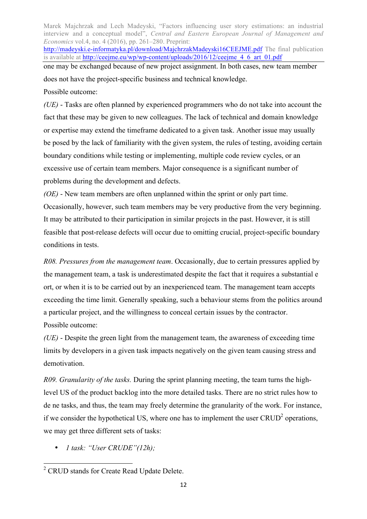Marek Majchrzak and Lech Madeyski, "Factors influencing user story estimations: an industrial interview and a conceptual model", *Central and Eastern European Journal of Management and Economics* vol.4, no. 4 (2016), pp. 261–280. Preprint: http://madeyski.e-informatyka.pl/download/MajchrzakMadeyski16CEEJME.pdf The final publication is available at http://ceejme.eu/wp/wp-content/uploads/2016/12/ceejme\_4\_6\_art\_01.pdf one may be exchanged because of new project assignment. In both cases, new team member does not have the project-specific business and technical knowledge. Possible outcome:

*(UE)* - Tasks are often planned by experienced programmers who do not take into account the fact that these may be given to new colleagues. The lack of technical and domain knowledge or expertise may extend the timeframe dedicated to a given task. Another issue may usually be posed by the lack of familiarity with the given system, the rules of testing, avoiding certain boundary conditions while testing or implementing, multiple code review cycles, or an excessive use of certain team members. Major consequence is a significant number of problems during the development and defects.

*(OE)* - New team members are often unplanned within the sprint or only part time. Occasionally, however, such team members may be very productive from the very beginning. It may be attributed to their participation in similar projects in the past. However, it is still feasible that post-release defects will occur due to omitting crucial, project-specific boundary conditions in tests.

*R08. Pressures from the management team*. Occasionally, due to certain pressures applied by the management team, a task is underestimated despite the fact that it requires a substantial e ort, or when it is to be carried out by an inexperienced team. The management team accepts exceeding the time limit. Generally speaking, such a behaviour stems from the politics around a particular project, and the willingness to conceal certain issues by the contractor. Possible outcome:

*(UE)* - Despite the green light from the management team, the awareness of exceeding time limits by developers in a given task impacts negatively on the given team causing stress and demotivation.

*R09. Granularity of the tasks.* During the sprint planning meeting, the team turns the highlevel US of the product backlog into the more detailed tasks. There are no strict rules how to de ne tasks, and thus, the team may freely determine the granularity of the work. For instance, if we consider the hypothetical US, where one has to implement the user  $CRUD<sup>2</sup>$  operations, we may get three different sets of tasks:

• *1 task: "User CRUDE"(12h);*

 <sup>2</sup> CRUD stands for Create Read Update Delete.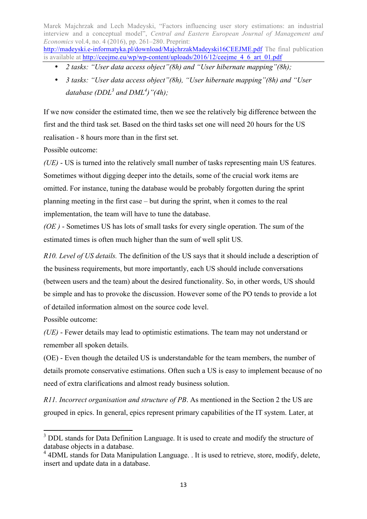http://madeyski.e-informatyka.pl/download/MajchrzakMadeyski16CEEJME.pdf The final publication is available at http://ceejme.eu/wp/wp-content/uploads/2016/12/ceejme\_4\_6\_art\_01.pdf

- *2 tasks: "User data access object"(8h) and "User hibernate mapping"(8h);*
- *3 tasks: "User data access object"(8h), "User hibernate mapping"(8h) and "User database (DDL<sup>3</sup> and DML<sup>4</sup> )"(4h);*

If we now consider the estimated time, then we see the relatively big difference between the first and the third task set. Based on the third tasks set one will need 20 hours for the US realisation - 8 hours more than in the first set.

Possible outcome:

*(UE)* - US is turned into the relatively small number of tasks representing main US features. Sometimes without digging deeper into the details, some of the crucial work items are omitted. For instance, tuning the database would be probably forgotten during the sprint planning meeting in the first case – but during the sprint, when it comes to the real implementation, the team will have to tune the database.

*(OE )* - Sometimes US has lots of small tasks for every single operation. The sum of the estimated times is often much higher than the sum of well split US.

*R10. Level of US details.* The definition of the US says that it should include a description of the business requirements, but more importantly, each US should include conversations (between users and the team) about the desired functionality. So, in other words, US should be simple and has to provoke the discussion. However some of the PO tends to provide a lot of detailed information almost on the source code level.

Possible outcome:

*(UE)* - Fewer details may lead to optimistic estimations. The team may not understand or remember all spoken details.

(OE) - Even though the detailed US is understandable for the team members, the number of details promote conservative estimations. Often such a US is easy to implement because of no need of extra clarifications and almost ready business solution.

*R11. Incorrect organisation and structure of PB*. As mentioned in the Section 2 the US are grouped in epics. In general, epics represent primary capabilities of the IT system. Later, at

 $3$  DDL stands for Data Definition Language. It is used to create and modify the structure of database objects in a database.

 $4$  4DML stands for Data Manipulation Language. . It is used to retrieve, store, modify, delete, insert and update data in a database.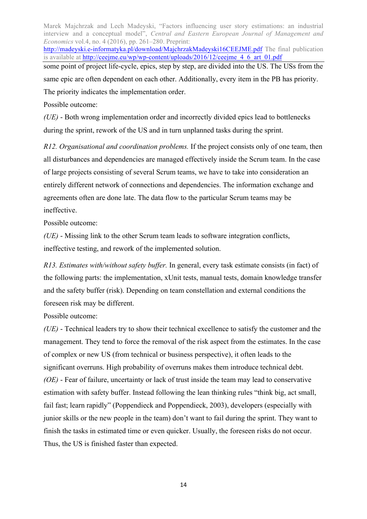Marek Majchrzak and Lech Madeyski, "Factors influencing user story estimations: an industrial interview and a conceptual model", *Central and Eastern European Journal of Management and Economics* vol.4, no. 4 (2016), pp. 261–280. Preprint: http://madeyski.e-informatyka.pl/download/MajchrzakMadeyski16CEEJME.pdf The final publication is available at http://ceejme.eu/wp/wp-content/uploads/2016/12/ceejme\_4\_6\_art\_01.pdf some point of project life-cycle, epics, step by step, are divided into the US. The USs from the same epic are often dependent on each other. Additionally, every item in the PB has priority. The priority indicates the implementation order.

Possible outcome:

*(UE)* - Both wrong implementation order and incorrectly divided epics lead to bottlenecks during the sprint, rework of the US and in turn unplanned tasks during the sprint.

*R12. Organisational and coordination problems.* If the project consists only of one team, then all disturbances and dependencies are managed effectively inside the Scrum team. In the case of large projects consisting of several Scrum teams, we have to take into consideration an entirely different network of connections and dependencies. The information exchange and agreements often are done late. The data flow to the particular Scrum teams may be ineffective.

Possible outcome:

*(UE)* - Missing link to the other Scrum team leads to software integration conflicts, ineffective testing, and rework of the implemented solution.

*R13. Estimates with/without safety buffer.* In general, every task estimate consists (in fact) of the following parts: the implementation, xUnit tests, manual tests, domain knowledge transfer and the safety buffer (risk). Depending on team constellation and external conditions the foreseen risk may be different.

Possible outcome:

*(UE)* - Technical leaders try to show their technical excellence to satisfy the customer and the management. They tend to force the removal of the risk aspect from the estimates. In the case of complex or new US (from technical or business perspective), it often leads to the significant overruns. High probability of overruns makes them introduce technical debt. *(OE)* - Fear of failure, uncertainty or lack of trust inside the team may lead to conservative estimation with safety buffer. Instead following the lean thinking rules "think big, act small, fail fast; learn rapidly" (Poppendieck and Poppendieck, 2003), developers (especially with junior skills or the new people in the team) don't want to fail during the sprint. They want to finish the tasks in estimated time or even quicker. Usually, the foreseen risks do not occur. Thus, the US is finished faster than expected.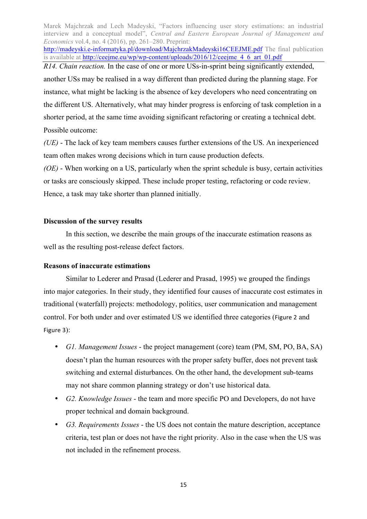http://madeyski.e-informatyka.pl/download/MajchrzakMadeyski16CEEJME.pdf The final publication is available at http://ceejme.eu/wp/wp-content/uploads/2016/12/ceejme\_4\_6\_art\_01.pdf

*R14. Chain reaction.* In the case of one or more USs-in-sprint being significantly extended, another USs may be realised in a way different than predicted during the planning stage. For instance, what might be lacking is the absence of key developers who need concentrating on the different US. Alternatively, what may hinder progress is enforcing of task completion in a shorter period, at the same time avoiding significant refactoring or creating a technical debt. Possible outcome:

*(UE)* - The lack of key team members causes further extensions of the US. An inexperienced team often makes wrong decisions which in turn cause production defects.

*(OE)* - When working on a US, particularly when the sprint schedule is busy, certain activities or tasks are consciously skipped. These include proper testing, refactoring or code review. Hence, a task may take shorter than planned initially.

#### **Discussion of the survey results**

In this section, we describe the main groups of the inaccurate estimation reasons as well as the resulting post-release defect factors.

## **Reasons of inaccurate estimations**

Similar to Lederer and Prasad (Lederer and Prasad, 1995) we grouped the findings into major categories. In their study, they identified four causes of inaccurate cost estimates in traditional (waterfall) projects: methodology, politics, user communication and management control. For both under and over estimated US we identified three categories (Figure 2 and Figure 3):

- *G1. Management Issues* the project management (core) team (PM, SM, PO, BA, SA) doesn't plan the human resources with the proper safety buffer, does not prevent task switching and external disturbances. On the other hand, the development sub-teams may not share common planning strategy or don't use historical data.
- *G2. Knowledge Issues* the team and more specific PO and Developers, do not have proper technical and domain background.
- *G3. Requirements Issues* the US does not contain the mature description, acceptance criteria, test plan or does not have the right priority. Also in the case when the US was not included in the refinement process.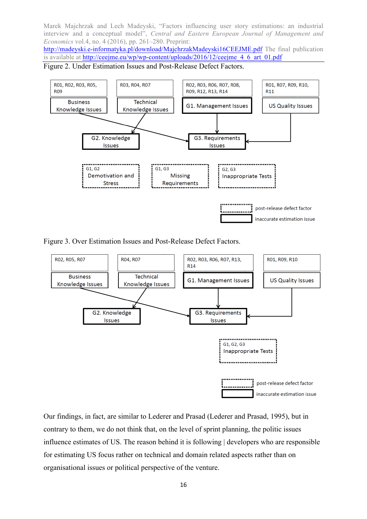http://madeyski.e-informatyka.pl/download/MajchrzakMadeyski16CEEJME.pdf The final publication is available at http://ceejme.eu/wp/wp-content/uploads/2016/12/ceejme\_4\_6\_art\_01.pdf

Figure 2. Under Estimation Issues and Post-Release Defect Factors.



Figure 3. Over Estimation Issues and Post-Release Defect Factors.



Our findings, in fact, are similar to Lederer and Prasad (Lederer and Prasad, 1995), but in contrary to them, we do not think that, on the level of sprint planning, the politic issues influence estimates of US. The reason behind it is following | developers who are responsible for estimating US focus rather on technical and domain related aspects rather than on organisational issues or political perspective of the venture.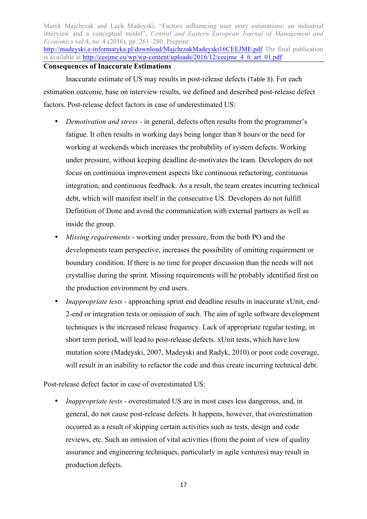Marek Majchrzak and Lech Madeyski, "Factors influencing user story estimations: an industrial interview and a conceptual model", *Central and Eastern European Journal of Management and Economics* vol.4, no. 4 (2016), pp. 261–280. Preprint: http://madeyski.e-informatyka.pl/download/MajchrzakMadeyski16CEEJME.pdf The final publication is available at http://ceejme.eu/wp/wp-content/uploads/2016/12/ceejme\_4\_6\_art\_01.pdf **Consequences of Inaccurate Estimations**

Inaccurate estimate of US may results in post-release defects (Table 3). For each estimation outcome, base on interview results, we defined and described post-release defect factors. Post-release defect factors in case of underestimated US:

- *Demotivation and stress* in general, defects often results from the programmer's fatigue. It often results in working days being longer than 8 hours or the need for working at weekends which increases the probability of system defects. Working under pressure, without keeping deadline de-motivates the team. Developers do not focus on continuous improvement aspects like continuous refactoring, continuous integration, and continuous feedback. As a result, the team creates incurring technical debt, which will manifest itself in the consecutive US. Developers do not fulfill Definition of Done and avoid the communication with external partners as well as inside the group.
- *Missing requirements* working under pressure, from the both PO and the developments team perspective, increases the possibility of omitting requirement or boundary condition. If there is no time for proper discussion than the needs will not crystallise during the sprint. Missing requirements will be probably identified first on the production environment by end users.
- *Inappropriate tests* approaching sprint end deadline results in inaccurate xUnit, end-2-end or integration tests or omission of such. The aim of agile software development techniques is the increased release frequency. Lack of appropriate regular testing, in short term period, will lead to post-release defects. xUnit tests, which have low mutation score (Madeyski, 2007, Madeyski and Radyk, 2010) or poor code coverage, will result in an inability to refactor the code and thus create incurring technical debt.

Post-release defect factor in case of overestimated US:

• *Inappropriate tests* - overestimated US are in most cases less dangerous, and, in general, do not cause post-release defects. It happens, however, that overestimation occurred as a result of skipping certain activities such as tests, design and code reviews, etc. Such an omission of vital activities (from the point of view of quality assurance and engineering techniques, particularly in agile ventures) may result in production defects.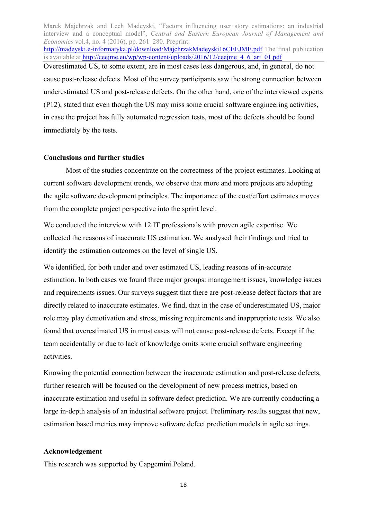Marek Majchrzak and Lech Madeyski, "Factors influencing user story estimations: an industrial interview and a conceptual model", *Central and Eastern European Journal of Management and Economics* vol.4, no. 4 (2016), pp. 261–280. Preprint: http://madeyski.e-informatyka.pl/download/MajchrzakMadeyski16CEEJME.pdf The final publication is available at http://ceejme.eu/wp/wp-content/uploads/2016/12/ceejme\_4\_6\_art\_01.pdf Overestimated US, to some extent, are in most cases less dangerous, and, in general, do not cause post-release defects. Most of the survey participants saw the strong connection between underestimated US and post-release defects. On the other hand, one of the interviewed experts (P12), stated that even though the US may miss some crucial software engineering activities, in case the project has fully automated regression tests, most of the defects should be found immediately by the tests.

#### **Conclusions and further studies**

Most of the studies concentrate on the correctness of the project estimates. Looking at current software development trends, we observe that more and more projects are adopting the agile software development principles. The importance of the cost/effort estimates moves from the complete project perspective into the sprint level.

We conducted the interview with 12 IT professionals with proven agile expertise. We collected the reasons of inaccurate US estimation. We analysed their findings and tried to identify the estimation outcomes on the level of single US.

We identified, for both under and over estimated US, leading reasons of in-accurate estimation. In both cases we found three major groups: management issues, knowledge issues and requirements issues. Our surveys suggest that there are post-release defect factors that are directly related to inaccurate estimates. We find, that in the case of underestimated US, major role may play demotivation and stress, missing requirements and inappropriate tests. We also found that overestimated US in most cases will not cause post-release defects. Except if the team accidentally or due to lack of knowledge omits some crucial software engineering activities.

Knowing the potential connection between the inaccurate estimation and post-release defects, further research will be focused on the development of new process metrics, based on inaccurate estimation and useful in software defect prediction. We are currently conducting a large in-depth analysis of an industrial software project. Preliminary results suggest that new, estimation based metrics may improve software defect prediction models in agile settings.

#### **Acknowledgement**

This research was supported by Capgemini Poland.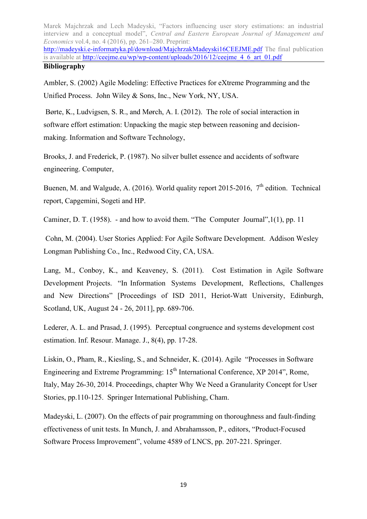http://madeyski.e-informatyka.pl/download/MajchrzakMadeyski16CEEJME.pdf The final publication is available at http://ceejme.eu/wp/wp-content/uploads/2016/12/ceejme\_4\_6\_art\_01.pdf **Bibliography**

Ambler, S. (2002) Agile Modeling: Effective Practices for eXtreme Programming and the Unified Process. John Wiley & Sons, Inc., New York, NY, USA.

Børte, K., Ludvigsen, S. R., and Mørch, A. I. (2012). The role of social interaction in software effort estimation: Unpacking the magic step between reasoning and decisionmaking. Information and Software Technology,

Brooks, J. and Frederick, P. (1987). No silver bullet essence and accidents of software engineering. Computer,

Buenen, M. and Walgude, A. (2016). World quality report 2015-2016,  $7<sup>th</sup>$  edition. Technical report, Capgemini, Sogeti and HP.

Caminer, D. T. (1958). - and how to avoid them. "The Computer Journal",1(1), pp. 11

Cohn, M. (2004). User Stories Applied: For Agile Software Development. Addison Wesley Longman Publishing Co., Inc., Redwood City, CA, USA.

Lang, M., Conboy, K., and Keaveney, S. (2011). Cost Estimation in Agile Software Development Projects. "In Information Systems Development, Reflections, Challenges and New Directions" [Proceedings of ISD 2011, Heriot-Watt University, Edinburgh, Scotland, UK, August 24 - 26, 2011], pp. 689-706.

Lederer, A. L. and Prasad, J. (1995). Perceptual congruence and systems development cost estimation. Inf. Resour. Manage. J., 8(4), pp. 17-28.

Liskin, O., Pham, R., Kiesling, S., and Schneider, K. (2014). Agile "Processes in Software Engineering and Extreme Programming:  $15<sup>th</sup>$  International Conference, XP 2014", Rome, Italy, May 26-30, 2014. Proceedings, chapter Why We Need a Granularity Concept for User Stories, pp.110-125. Springer International Publishing, Cham.

Madeyski, L. (2007). On the effects of pair programming on thoroughness and fault-finding effectiveness of unit tests. In Munch, J. and Abrahamsson, P., editors, "Product-Focused Software Process Improvement", volume 4589 of LNCS, pp. 207-221. Springer.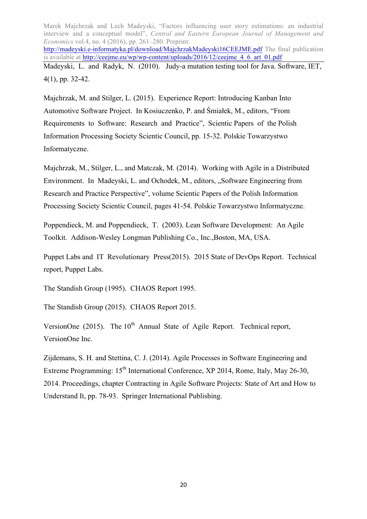Marek Majchrzak and Lech Madeyski, "Factors influencing user story estimations: an industrial interview and a conceptual model", *Central and Eastern European Journal of Management and Economics* vol.4, no. 4 (2016), pp. 261–280. Preprint: http://madeyski.e-informatyka.pl/download/MajchrzakMadeyski16CEEJME.pdf The final publication is available at http://ceejme.eu/wp/wp-content/uploads/2016/12/ceejme\_4\_6\_art\_01.pdf Madeyski, L. and Radyk, N. (2010). Judy-a mutation testing tool for Java. Software, IET, 4(1), pp. 32-42.

Majchrzak, M. and Stilger, L. (2015). Experience Report: Introducing Kanban Into Automotive Software Project. In Kosiuczenko, P. and Śmiałek, M., editors, "From Requirements to Software: Research and Practice", Scientic Papers of the Polish Information Processing Society Scientic Council, pp. 15-32. Polskie Towarzystwo Informatyczne.

Majchrzak, M., Stilger, L., and Matczak, M. (2014). Working with Agile in a Distributed Environment. In Madeyski, L. and Ochodek, M., editors, "Software Engineering from Research and Practice Perspective", volume Scientic Papers of the Polish Information Processing Society Scientic Council, pages 41-54. Polskie Towarzystwo Informatyczne.

Poppendieck, M. and Poppendieck, T. (2003). Lean Software Development: An Agile Toolkit. Addison-Wesley Longman Publishing Co., Inc.,Boston, MA, USA.

Puppet Labs and IT Revolutionary Press(2015). 2015 State of DevOps Report. Technical report, Puppet Labs.

The Standish Group (1995). CHAOS Report 1995.

The Standish Group (2015). CHAOS Report 2015.

VersionOne  $(2015)$ . The  $10<sup>th</sup>$  Annual State of Agile Report. Technical report, VersionOne Inc.

Zijdemans, S. H. and Stettina, C. J. (2014). Agile Processes in Software Engineering and Extreme Programming: 15<sup>th</sup> International Conference, XP 2014, Rome, Italy, May 26-30, 2014. Proceedings, chapter Contracting in Agile Software Projects: State of Art and How to Understand It, pp. 78-93. Springer International Publishing.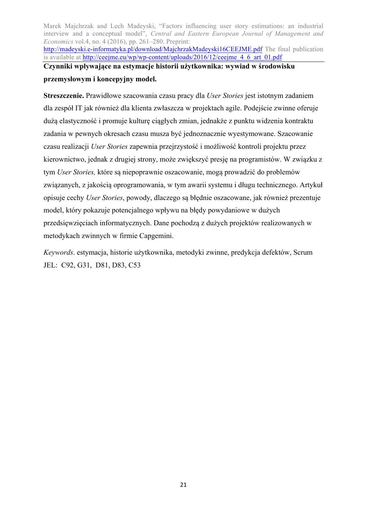Marek Majchrzak and Lech Madeyski, "Factors influencing user story estimations: an industrial interview and a conceptual model", *Central and Eastern European Journal of Management and Economics* vol.4, no. 4 (2016), pp. 261–280. Preprint: http://madeyski.e-informatyka.pl/download/MajchrzakMadeyski16CEEJME.pdf The final publication is available at http://ceejme.eu/wp/wp-content/uploads/2016/12/ceejme\_4\_6\_art\_01.pdf **Czynniki wpływające na estymacje historii użytkownika: wywiad w środowisku** 

## **przemysłowym i koncepyjny model.**

**Streszczenie.** Prawidłowe szacowania czasu pracy dla *User Stories* jest istotnym zadaniem dla zespół IT jak również dla klienta zwłaszcza w projektach agile. Podejście zwinne oferuje dużą elastyczność i promuje kulturę ciągłych zmian, jednakże z punktu widzenia kontraktu zadania w pewnych okresach czasu musza być jednoznacznie wyestymowane. Szacowanie czasu realizacji *User Stories* zapewnia przejrzystość i możliwość kontroli projektu przez kierownictwo, jednak z drugiej strony, może zwiększyć presję na programistów. W związku z tym *User Stories,* które są niepoprawnie oszacowanie, mogą prowadzić do problemów związanych, z jakością oprogramowania, w tym awarii systemu i długu technicznego. Artykuł opisuje cechy *User Stories*, powody, dlaczego są błędnie oszacowane, jak również prezentuje model, który pokazuje potencjalnego wpływu na błędy powydaniowe w dużych przedsięwzięciach informatycznych. Dane pochodzą z dużych projektów realizowanych w metodykach zwinnych w firmie Capgemini.

*Keywords*. estymacja, historie użytkownika, metodyki zwinne, predykcja defektów, Scrum JEL: C92, G31, D81, D83, C53